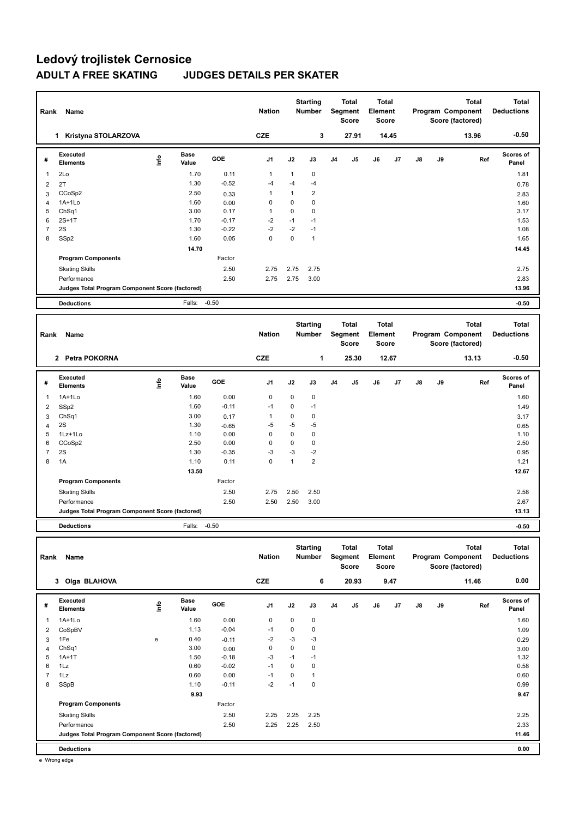## **Ledový trojlistek Cernosice ADULT A FREE SKATING JUDGES DETAILS PER SKATER**

| Rank           | Name                                            |                                  |                      |            | <b>Nation</b>  |              | <b>Starting</b><br><b>Number</b> |                | <b>Total</b><br><b>Segment</b><br><b>Score</b> | <b>Total</b><br>Element<br><b>Score</b> |       |               |    | <b>Total</b><br>Program Component<br>Score (factored) |     | <b>Total</b><br><b>Deductions</b> |
|----------------|-------------------------------------------------|----------------------------------|----------------------|------------|----------------|--------------|----------------------------------|----------------|------------------------------------------------|-----------------------------------------|-------|---------------|----|-------------------------------------------------------|-----|-----------------------------------|
|                | 1 Kristyna STOLARZOVA                           |                                  |                      |            | <b>CZE</b>     |              | 3                                |                | 27.91                                          |                                         | 14.45 |               |    | 13.96                                                 |     | $-0.50$                           |
| #              | Executed<br><b>Elements</b>                     | $\mathop{\mathsf{Irr}}\nolimits$ | <b>Base</b><br>Value | GOE        | J <sub>1</sub> | J2           | J3                               | J <sub>4</sub> | J5                                             | J6                                      | J7    | $\mathsf{J}8$ | J9 |                                                       | Ref | <b>Scores of</b><br>Panel         |
| 1              | 2Lo                                             |                                  | 1.70                 | 0.11       | $\mathbf{1}$   | $\mathbf{1}$ | $\pmb{0}$                        |                |                                                |                                         |       |               |    |                                                       |     | 1.81                              |
| $\overline{2}$ | 2T                                              |                                  | 1.30                 | $-0.52$    | $-4$           | $-4$         | $-4$                             |                |                                                |                                         |       |               |    |                                                       |     | 0.78                              |
| 3              | CCoSp2                                          |                                  | 2.50                 | 0.33       | 1              | $\mathbf{1}$ | $\overline{2}$                   |                |                                                |                                         |       |               |    |                                                       |     | 2.83                              |
| 4              | $1A+1Lo$                                        |                                  | 1.60                 | 0.00       | 0              | 0            | $\mathbf 0$                      |                |                                                |                                         |       |               |    |                                                       |     | 1.60                              |
| 5              | ChSq1                                           |                                  | 3.00                 | 0.17       | $\mathbf{1}$   | $\mathbf 0$  | $\mathbf 0$                      |                |                                                |                                         |       |               |    |                                                       |     | 3.17                              |
| 6              | $2S+1T$                                         |                                  | 1.70                 | $-0.17$    | $-2$           | $-1$         | $-1$                             |                |                                                |                                         |       |               |    |                                                       |     | 1.53                              |
| $\overline{7}$ | 2S                                              |                                  | 1.30                 | $-0.22$    | $-2$           | $-2$         | $-1$                             |                |                                                |                                         |       |               |    |                                                       |     | 1.08                              |
| 8              | SSp2                                            |                                  | 1.60                 | 0.05       | 0              | 0            | $\mathbf{1}$                     |                |                                                |                                         |       |               |    |                                                       |     | 1.65                              |
|                |                                                 |                                  | 14.70                |            |                |              |                                  |                |                                                |                                         |       |               |    |                                                       |     | 14.45                             |
|                | <b>Program Components</b>                       |                                  |                      | Factor     |                |              |                                  |                |                                                |                                         |       |               |    |                                                       |     |                                   |
|                | <b>Skating Skills</b>                           |                                  |                      | 2.50       | 2.75           | 2.75         | 2.75                             |                |                                                |                                         |       |               |    |                                                       |     | 2.75                              |
|                | Performance                                     |                                  |                      | 2.50       | 2.75           | 2.75         | 3.00                             |                |                                                |                                         |       |               |    |                                                       |     | 2.83                              |
|                | Judges Total Program Component Score (factored) |                                  |                      |            |                |              |                                  |                |                                                |                                         |       |               |    |                                                       |     | 13.96                             |
|                | <b>Deductions</b>                               |                                  | Falls:               | $-0.50$    |                |              |                                  |                |                                                |                                         |       |               |    |                                                       |     | $-0.50$                           |
|                |                                                 |                                  |                      |            |                |              |                                  |                |                                                |                                         |       |               |    |                                                       |     |                                   |
|                |                                                 |                                  |                      |            |                |              |                                  |                |                                                |                                         |       |               |    |                                                       |     |                                   |
| Rank           | Name                                            |                                  |                      |            | <b>Nation</b>  |              | <b>Starting</b><br>Number        |                | <b>Total</b><br><b>Segment</b>                 | <b>Total</b><br>Element                 |       |               |    | <b>Total</b><br>Program Component                     |     | <b>Total</b><br><b>Deductions</b> |
|                |                                                 |                                  |                      |            |                |              |                                  |                | <b>Score</b>                                   | <b>Score</b>                            |       |               |    | Score (factored)                                      |     |                                   |
|                | 2 Petra POKORNA                                 |                                  |                      |            | <b>CZE</b>     |              | 1                                |                | 25.30                                          |                                         | 12.67 |               |    | 13.13                                                 |     | $-0.50$                           |
| #              | Executed<br><b>Elements</b>                     | $\mathop{\mathsf{Info}}$         | <b>Base</b><br>Value | <b>GOE</b> | J <sub>1</sub> | J2           | J3                               | J <sub>4</sub> | J5                                             | J6                                      | J7    | J8            | J9 |                                                       | Ref | <b>Scores of</b><br>Panel         |
| 1              | $1A+1L0$                                        |                                  | 1.60                 | 0.00       | $\mathbf 0$    | $\mathbf 0$  | $\pmb{0}$                        |                |                                                |                                         |       |               |    |                                                       |     | 1.60                              |
| 2              | SSp2                                            |                                  | 1.60                 | $-0.11$    | $-1$           | 0            | $-1$                             |                |                                                |                                         |       |               |    |                                                       |     | 1.49                              |
| 3              | ChSq1                                           |                                  | 3.00                 | 0.17       | $\mathbf{1}$   | 0            | 0                                |                |                                                |                                         |       |               |    |                                                       |     | 3.17                              |
| 4              | 2S                                              |                                  | 1.30                 | $-0.65$    | $-5$           | $-5$         | $-5$                             |                |                                                |                                         |       |               |    |                                                       |     | 0.65                              |
| 5              | 1Lz+1Lo                                         |                                  | 1.10                 | 0.00       | $\mathbf 0$    | $\mathbf 0$  | $\pmb{0}$                        |                |                                                |                                         |       |               |    |                                                       |     | 1.10                              |
| 6              | CCoSp2                                          |                                  | 2.50                 | 0.00       | 0              | $\pmb{0}$    | $\pmb{0}$                        |                |                                                |                                         |       |               |    |                                                       |     | 2.50                              |
| $\overline{7}$ | 2S                                              |                                  | 1.30                 | $-0.35$    | $-3$           | $-3$         | $-2$                             |                |                                                |                                         |       |               |    |                                                       |     | 0.95                              |
| 8              | 1A                                              |                                  | 1.10                 | 0.11       | $\Omega$       | $\mathbf{1}$ | $\overline{2}$                   |                |                                                |                                         |       |               |    |                                                       |     | 1.21                              |
|                |                                                 |                                  | 13.50                |            |                |              |                                  |                |                                                |                                         |       |               |    |                                                       |     | 12.67                             |
|                | <b>Program Components</b>                       |                                  |                      | Factor     |                |              |                                  |                |                                                |                                         |       |               |    |                                                       |     |                                   |
|                | <b>Skating Skills</b>                           |                                  |                      | 2.50       | 2.75           | 2.50         | 2.50                             |                |                                                |                                         |       |               |    |                                                       |     | 2.58                              |
|                | Performance                                     |                                  |                      | 2.50       | 2.50           | 2.50         | 3.00                             |                |                                                |                                         |       |               |    |                                                       |     | 2.67                              |

**Deductions** Falls: -0.50 **-0.50**

| Rank           | Name                                            |      |                      |            | <b>Nation</b>  |      | <b>Starting</b><br><b>Number</b> |                | <b>Total</b><br>Segment<br><b>Score</b> | <b>Total</b><br>Element<br>Score |      |               |    | Total<br>Program Component<br>Score (factored) | <b>Total</b><br><b>Deductions</b> |
|----------------|-------------------------------------------------|------|----------------------|------------|----------------|------|----------------------------------|----------------|-----------------------------------------|----------------------------------|------|---------------|----|------------------------------------------------|-----------------------------------|
|                | 3 Olga BLAHOVA                                  |      |                      |            | <b>CZE</b>     |      | 6                                |                | 20.93                                   |                                  | 9.47 |               |    | 11.46                                          | 0.00                              |
| #              | Executed<br><b>Elements</b>                     | Info | <b>Base</b><br>Value | <b>GOE</b> | J <sub>1</sub> | J2   | J3                               | J <sub>4</sub> | J <sub>5</sub>                          | J6                               | J7   | $\mathsf{J}8$ | J9 | Ref                                            | <b>Scores of</b><br>Panel         |
| 1              | $1A+1L0$                                        |      | 1.60                 | 0.00       | 0              | 0    | 0                                |                |                                         |                                  |      |               |    |                                                | 1.60                              |
| 2              | CoSpBV                                          |      | 1.13                 | $-0.04$    | $-1$           | 0    | 0                                |                |                                         |                                  |      |               |    |                                                | 1.09                              |
| 3              | 1Fe                                             | e    | 0.40                 | $-0.11$    | $-2$           | $-3$ | $-3$                             |                |                                         |                                  |      |               |    |                                                | 0.29                              |
| 4              | ChSq1                                           |      | 3.00                 | 0.00       | 0              | 0    | 0                                |                |                                         |                                  |      |               |    |                                                | 3.00                              |
| 5              | $1A+1T$                                         |      | 1.50                 | $-0.18$    | -3             | $-1$ | $-1$                             |                |                                         |                                  |      |               |    |                                                | 1.32                              |
| 6              | 1Lz                                             |      | 0.60                 | $-0.02$    | $-1$           | 0    | 0                                |                |                                         |                                  |      |               |    |                                                | 0.58                              |
| $\overline{7}$ | 1Lz                                             |      | 0.60                 | 0.00       | $-1$           | 0    | $\mathbf{1}$                     |                |                                         |                                  |      |               |    |                                                | 0.60                              |
| 8              | SSpB                                            |      | 1.10                 | $-0.11$    | $-2$           | $-1$ | 0                                |                |                                         |                                  |      |               |    |                                                | 0.99                              |
|                |                                                 |      | 9.93                 |            |                |      |                                  |                |                                         |                                  |      |               |    |                                                | 9.47                              |
|                | <b>Program Components</b>                       |      |                      | Factor     |                |      |                                  |                |                                         |                                  |      |               |    |                                                |                                   |
|                | <b>Skating Skills</b>                           |      |                      | 2.50       | 2.25           | 2.25 | 2.25                             |                |                                         |                                  |      |               |    |                                                | 2.25                              |
|                | Performance                                     |      |                      | 2.50       | 2.25           | 2.25 | 2.50                             |                |                                         |                                  |      |               |    |                                                | 2.33                              |
|                | Judges Total Program Component Score (factored) |      |                      |            |                |      |                                  |                |                                         |                                  |      |               |    |                                                | 11.46                             |
|                | <b>Deductions</b>                               |      |                      |            |                |      |                                  |                |                                         |                                  |      |               |    |                                                | 0.00                              |

e Wrong edge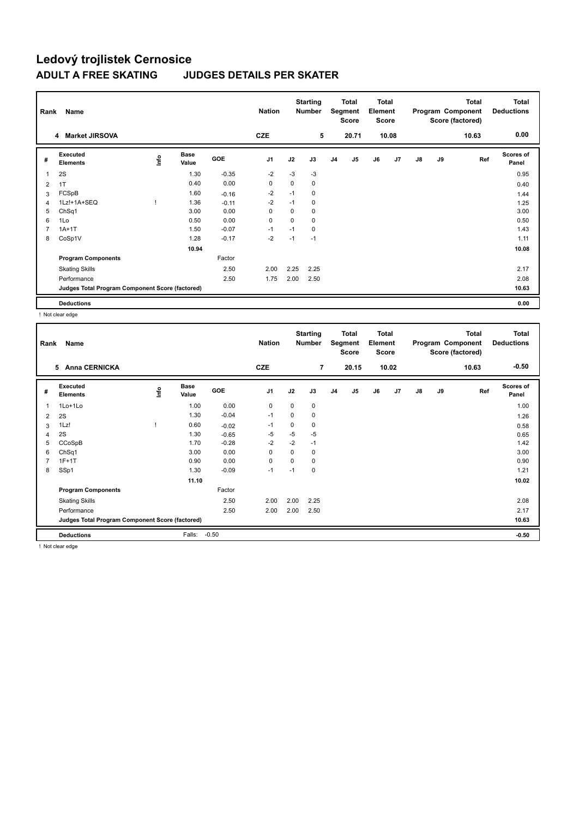## **Ledový trojlistek Cernosice JUDGES DETAILS PER SKATER**

| Rank           | Name                                            |      |                      |         | <b>Nation</b>  |             | <b>Starting</b><br><b>Number</b> |                | <b>Total</b><br>Segment<br><b>Score</b> | <b>Total</b><br>Element<br><b>Score</b> |       |               |    | <b>Total</b><br>Program Component<br>Score (factored) | <b>Total</b><br><b>Deductions</b> |
|----------------|-------------------------------------------------|------|----------------------|---------|----------------|-------------|----------------------------------|----------------|-----------------------------------------|-----------------------------------------|-------|---------------|----|-------------------------------------------------------|-----------------------------------|
|                | 4 Market JIRSOVA                                |      |                      |         | <b>CZE</b>     |             | 5                                |                | 20.71                                   |                                         | 10.08 |               |    | 10.63                                                 | 0.00                              |
| #              | Executed<br><b>Elements</b>                     | lnfo | <b>Base</b><br>Value | GOE     | J <sub>1</sub> | J2          | J3                               | J <sub>4</sub> | J <sub>5</sub>                          | J6                                      | J7    | $\mathsf{J}8$ | J9 | Ref                                                   | Scores of<br>Panel                |
| $\mathbf{1}$   | 2S                                              |      | 1.30                 | $-0.35$ | $-2$           | $-3$        | $-3$                             |                |                                         |                                         |       |               |    |                                                       | 0.95                              |
| 2              | 1T                                              |      | 0.40                 | 0.00    | 0              | 0           | 0                                |                |                                         |                                         |       |               |    |                                                       | 0.40                              |
| 3              | FCSpB                                           |      | 1.60                 | $-0.16$ | $-2$           | $-1$        | 0                                |                |                                         |                                         |       |               |    |                                                       | 1.44                              |
| $\overline{4}$ | 1Lz!+1A+SEQ                                     |      | 1.36                 | $-0.11$ | $-2$           | $-1$        | 0                                |                |                                         |                                         |       |               |    |                                                       | 1.25                              |
| 5              | ChSq1                                           |      | 3.00                 | 0.00    | 0              | 0           | 0                                |                |                                         |                                         |       |               |    |                                                       | 3.00                              |
| 6              | 1Lo                                             |      | 0.50                 | 0.00    | $\mathbf 0$    | $\mathbf 0$ | 0                                |                |                                         |                                         |       |               |    |                                                       | 0.50                              |
| $\overline{7}$ | $1A+1T$                                         |      | 1.50                 | $-0.07$ | $-1$           | $-1$        | 0                                |                |                                         |                                         |       |               |    |                                                       | 1.43                              |
| 8              | CoSp1V                                          |      | 1.28                 | $-0.17$ | $-2$           | $-1$        | $-1$                             |                |                                         |                                         |       |               |    |                                                       | 1.11                              |
|                |                                                 |      | 10.94                |         |                |             |                                  |                |                                         |                                         |       |               |    |                                                       | 10.08                             |
|                | <b>Program Components</b>                       |      |                      | Factor  |                |             |                                  |                |                                         |                                         |       |               |    |                                                       |                                   |
|                | <b>Skating Skills</b>                           |      |                      | 2.50    | 2.00           | 2.25        | 2.25                             |                |                                         |                                         |       |               |    |                                                       | 2.17                              |
|                | Performance                                     |      |                      | 2.50    | 1.75           | 2.00        | 2.50                             |                |                                         |                                         |       |               |    |                                                       | 2.08                              |
|                | Judges Total Program Component Score (factored) |      |                      |         |                |             |                                  |                |                                         |                                         |       |               |    |                                                       | 10.63                             |
|                | <b>Deductions</b>                               |      |                      |         |                |             |                                  |                |                                         |                                         |       |               |    |                                                       | 0.00                              |

! Not clear edge

| Rank           | Name                                            |      |                      |            | <b>Nation</b>  |          | <b>Starting</b><br><b>Number</b> |                | <b>Total</b><br>Segment<br><b>Score</b> | <b>Total</b><br>Element<br><b>Score</b> |                |    |    | <b>Total</b><br>Program Component<br>Score (factored) | <b>Total</b><br><b>Deductions</b> |
|----------------|-------------------------------------------------|------|----------------------|------------|----------------|----------|----------------------------------|----------------|-----------------------------------------|-----------------------------------------|----------------|----|----|-------------------------------------------------------|-----------------------------------|
|                | <b>Anna CERNICKA</b><br>5                       |      |                      |            | <b>CZE</b>     |          | $\overline{7}$                   |                | 20.15                                   |                                         | 10.02          |    |    | 10.63                                                 | $-0.50$                           |
| #              | Executed<br><b>Elements</b>                     | Info | <b>Base</b><br>Value | <b>GOE</b> | J <sub>1</sub> | J2       | J3                               | J <sub>4</sub> | J <sub>5</sub>                          | J6                                      | J <sub>7</sub> | J8 | J9 | Ref                                                   | <b>Scores of</b><br>Panel         |
| 1              | 1Lo+1Lo                                         |      | 1.00                 | 0.00       | 0              | 0        | 0                                |                |                                         |                                         |                |    |    |                                                       | 1.00                              |
| 2              | 2S                                              |      | 1.30                 | $-0.04$    | $-1$           | $\Omega$ | 0                                |                |                                         |                                         |                |    |    |                                                       | 1.26                              |
| 3              | 1Lz!                                            |      | 0.60                 | $-0.02$    | $-1$           | 0        | 0                                |                |                                         |                                         |                |    |    |                                                       | 0.58                              |
| $\overline{4}$ | 2S                                              |      | 1.30                 | $-0.65$    | $-5$           | $-5$     | $-5$                             |                |                                         |                                         |                |    |    |                                                       | 0.65                              |
| 5              | CCoSpB                                          |      | 1.70                 | $-0.28$    | $-2$           | $-2$     | $-1$                             |                |                                         |                                         |                |    |    |                                                       | 1.42                              |
| 6              | ChSq1                                           |      | 3.00                 | 0.00       | 0              | 0        | 0                                |                |                                         |                                         |                |    |    |                                                       | 3.00                              |
| $\overline{7}$ | $1F+1T$                                         |      | 0.90                 | 0.00       | 0              | $\Omega$ | 0                                |                |                                         |                                         |                |    |    |                                                       | 0.90                              |
| 8              | SSp1                                            |      | 1.30                 | $-0.09$    | $-1$           | $-1$     | 0                                |                |                                         |                                         |                |    |    |                                                       | 1.21                              |
|                |                                                 |      | 11.10                |            |                |          |                                  |                |                                         |                                         |                |    |    |                                                       | 10.02                             |
|                | <b>Program Components</b>                       |      |                      | Factor     |                |          |                                  |                |                                         |                                         |                |    |    |                                                       |                                   |
|                | <b>Skating Skills</b>                           |      |                      | 2.50       | 2.00           | 2.00     | 2.25                             |                |                                         |                                         |                |    |    |                                                       | 2.08                              |
|                | Performance                                     |      |                      | 2.50       | 2.00           | 2.00     | 2.50                             |                |                                         |                                         |                |    |    |                                                       | 2.17                              |
|                | Judges Total Program Component Score (factored) |      |                      |            |                |          |                                  |                |                                         |                                         |                |    |    |                                                       | 10.63                             |
|                | <b>Deductions</b>                               |      | Falls:               | $-0.50$    |                |          |                                  |                |                                         |                                         |                |    |    |                                                       | $-0.50$                           |

! Not clear edge